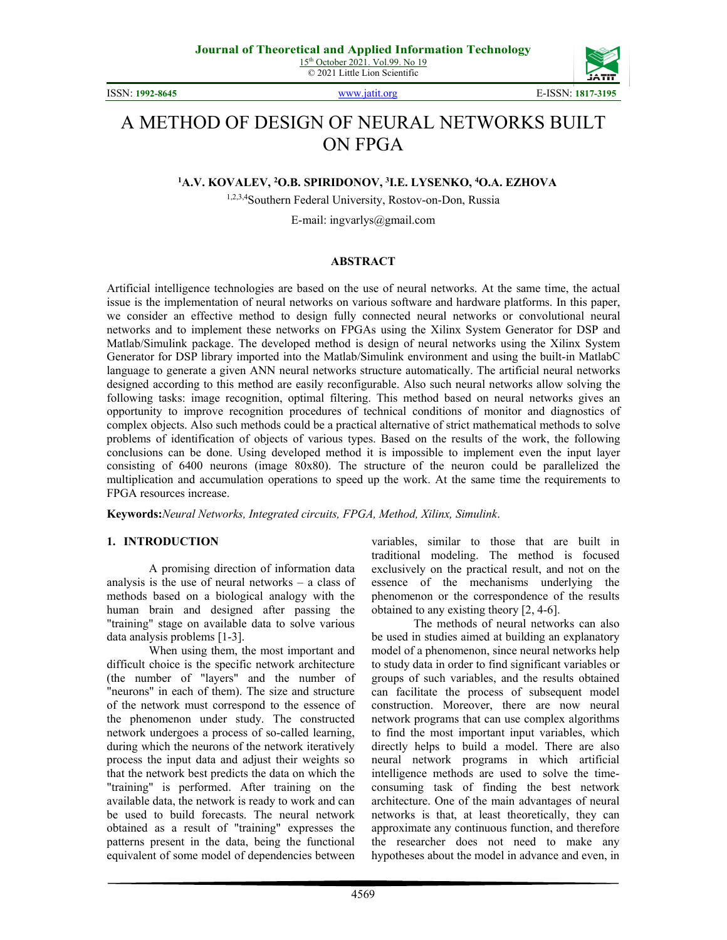ISSN: **1992-8645** [www.jatit.org](http://www.jatit.org/) E-ISSN: **1817-3195**



# A METHOD OF DESIGN OF NEURAL NETWORKS BUILT ON FPGA

**1 A.V. KOVALEV, 2 O.B. SPIRIDONOV, 3 I.E. LYSENKO, 4 O.A. EZHOVA**

1,2,3,4Southern Federal University, Rostov-on-Don, Russia

E-mail: ingvarlys@gmail.com

#### **ABSTRACT**

Artificial intelligence technologies are based on the use of neural networks. At the same time, the actual issue is the implementation of neural networks on various software and hardware platforms. In this paper, we consider an effective method to design fully connected neural networks or convolutional neural networks and to implement these networks on FPGAs using the Xilinx System Generator for DSP and Matlab/Simulink package. The developed method is design of neural networks using the Xilinx System Generator for DSP library imported into the Matlab/Simulink environment and using the built-in MatlabC language to generate a given ANN neural networks structure automatically. The artificial neural networks designed according to this method are easily reconfigurable. Also such neural networks allow solving the following tasks: image recognition, optimal filtering. This method based on neural networks gives an opportunity to improve recognition procedures of technical conditions of monitor and diagnostics of complex objects. Also such methods could be a practical alternative of strict mathematical methods to solve problems of identification of objects of various types. Based on the results of the work, the following conclusions can be done. Using developed method it is impossible to implement even the input layer consisting of 6400 neurons (image 80x80). The structure of the neuron could be parallelized the multiplication and accumulation operations to speed up the work. At the same time the requirements to FPGA resources increase.

**Keywords:***Neural Networks, Integrated circuits, FPGA, Method, Xilinx, Simulink*.

# **1. INTRODUCTION**

A promising direction of information data analysis is the use of neural networks – a class of methods based on a biological analogy with the human brain and designed after passing the "training" stage on available data to solve various data analysis problems [1-3].

When using them, the most important and difficult choice is the specific network architecture (the number of "layers" and the number of "neurons" in each of them). The size and structure of the network must correspond to the essence of the phenomenon under study. The constructed network undergoes a process of so-called learning, during which the neurons of the network iteratively process the input data and adjust their weights so that the network best predicts the data on which the "training" is performed. After training on the available data, the network is ready to work and can be used to build forecasts. The neural network obtained as a result of "training" expresses the patterns present in the data, being the functional equivalent of some model of dependencies between

variables, similar to those that are built in traditional modeling. The method is focused exclusively on the practical result, and not on the essence of the mechanisms underlying the phenomenon or the correspondence of the results obtained to any existing theory [2, 4-6].

The methods of neural networks can also be used in studies aimed at building an explanatory model of a phenomenon, since neural networks help to study data in order to find significant variables or groups of such variables, and the results obtained can facilitate the process of subsequent model construction. Moreover, there are now neural network programs that can use complex algorithms to find the most important input variables, which directly helps to build a model. There are also neural network programs in which artificial intelligence methods are used to solve the timeconsuming task of finding the best network architecture. One of the main advantages of neural networks is that, at least theoretically, they can approximate any continuous function, and therefore the researcher does not need to make any hypotheses about the model in advance and even, in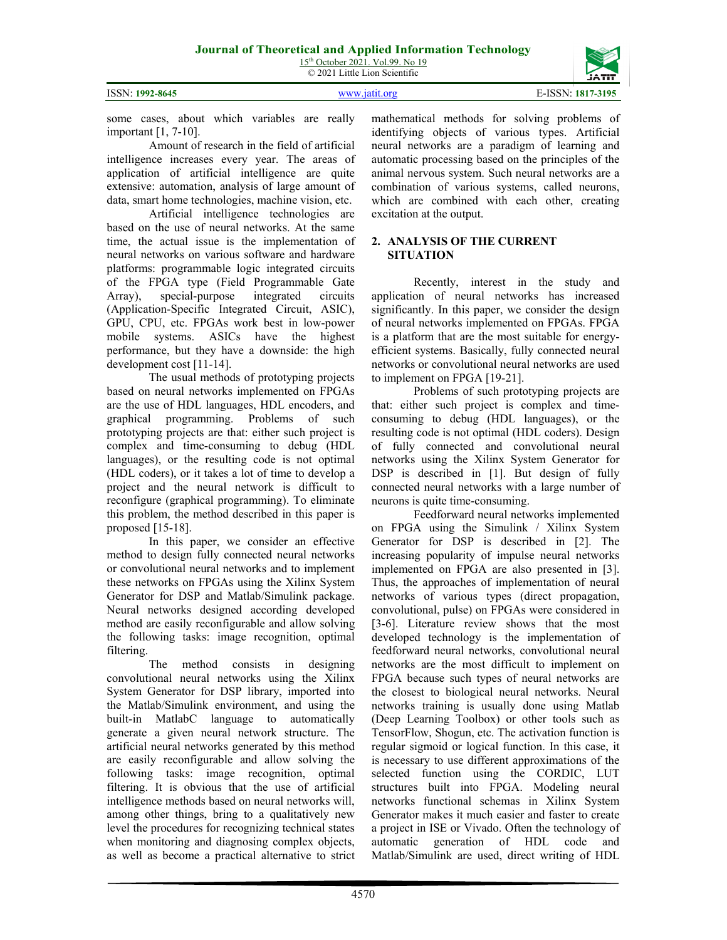ISSN: **1992-8645** [www.jatit.org](http://www.jatit.org/) E-ISSN: **1817-3195**

4570

mathematical methods for solving problems of identifying objects of various types. Artificial neural networks are a paradigm of learning and automatic processing based on the principles of the animal nervous system. Such neural networks are a combination of various systems, called neurons, which are combined with each other, creating excitation at the output.

#### **2. ANALYSIS OF THE CURRENT SITUATION**

Recently, interest in the study and application of neural networks has increased significantly. In this paper, we consider the design of neural networks implemented on FPGAs. FPGA is a platform that are the most suitable for energyefficient systems. Basically, fully connected neural networks or convolutional neural networks are used to implement on FPGA [19-21].

Problems of such prototyping projects are that: either such project is complex and timeconsuming to debug (HDL languages), or the resulting code is not optimal (HDL coders). Design of fully connected and convolutional neural networks using the Xilinx System Generator for DSP is described in [1]. But design of fully connected neural networks with a large number of neurons is quite time-consuming.

Feedforward neural networks implemented on FPGA using the Simulink / Xilinx System Generator for DSP is described in [2]. The increasing popularity of impulse neural networks implemented on FPGA are also presented in [3]. Thus, the approaches of implementation of neural networks of various types (direct propagation, convolutional, pulse) on FPGAs were considered in [3-6]. Literature review shows that the most developed technology is the implementation of feedforward neural networks, convolutional neural networks are the most difficult to implement on FPGA because such types of neural networks are the closest to biological neural networks. Neural networks training is usually done using Matlab (Deep Learning Toolbox) or other tools such as TensorFlow, Shogun, etc. The activation function is regular sigmoid or logical function. In this case, it is necessary to use different approximations of the selected function using the CORDIC, LUT structures built into FPGA. Modeling neural networks functional schemas in Xilinx System Generator makes it much easier and faster to create a project in ISE or Vivado. Often the technology of automatic generation of HDL code and Matlab/Simulink are used, direct writing of HDL

some cases, about which variables are really important [1, 7-10].

Amount of research in the field of artificial intelligence increases every year. The areas of application of artificial intelligence are quite extensive: automation, analysis of large amount of data, smart home technologies, machine vision, etc.

Artificial intelligence technologies are based on the use of neural networks. At the same time, the actual issue is the implementation of neural networks on various software and hardware platforms: programmable logic integrated circuits of the FPGA type (Field Programmable Gate Array), special-purpose integrated circuits (Application-Specific Integrated Circuit, ASIC), GPU, CPU, etc. FPGAs work best in low-power mobile systems. ASICs have the highest performance, but they have a downside: the high development cost [11-14].

The usual methods of prototyping projects based on neural networks implemented on FPGAs are the use of HDL languages, HDL encoders, and graphical programming. Problems of such prototyping projects are that: either such project is complex and time-consuming to debug (HDL languages), or the resulting code is not optimal (HDL coders), or it takes a lot of time to develop a project and the neural network is difficult to reconfigure (graphical programming). To eliminate this problem, the method described in this paper is proposed [15-18].

In this paper, we consider an effective method to design fully connected neural networks or convolutional neural networks and to implement these networks on FPGAs using the Xilinx System Generator for DSP and Matlab/Simulink package. Neural networks designed according developed method are easily reconfigurable and allow solving the following tasks: image recognition, optimal filtering.

The method consists in designing convolutional neural networks using the Xilinx System Generator for DSP library, imported into the Matlab/Simulink environment, and using the built-in MatlabC language to automatically generate a given neural network structure. The artificial neural networks generated by this method are easily reconfigurable and allow solving the following tasks: image recognition, optimal filtering. It is obvious that the use of artificial intelligence methods based on neural networks will, among other things, bring to a qualitatively new level the procedures for recognizing technical states when monitoring and diagnosing complex objects, as well as become a practical alternative to strict

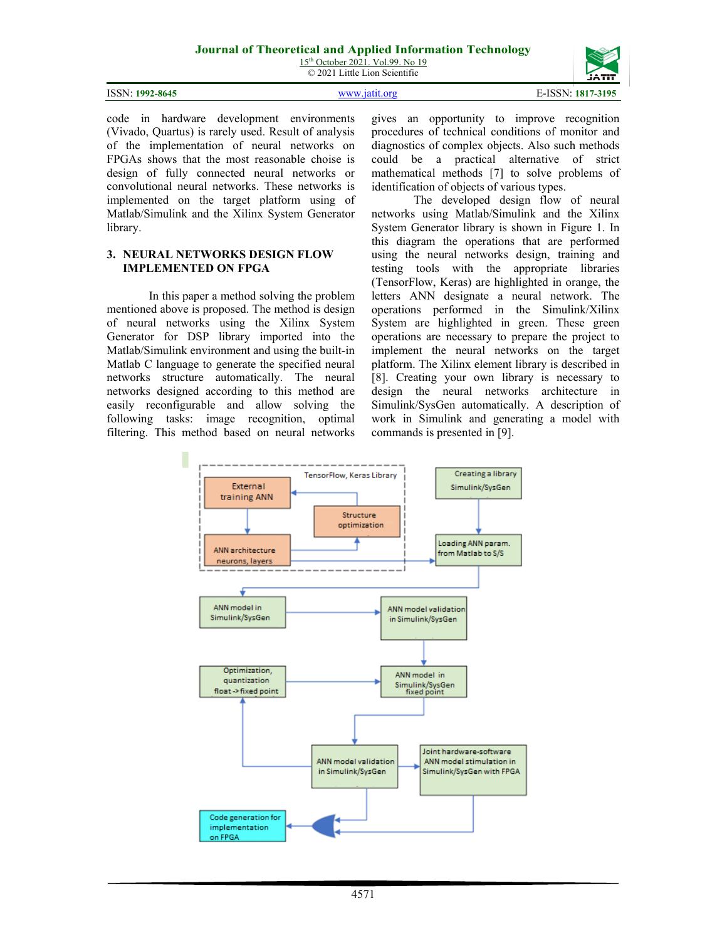15<sup>th</sup> October 2021. Vol.99. No 19 © 2021 Little Lion Scientific

|                 |                            | ------            |
|-----------------|----------------------------|-------------------|
| ISSN: 1992-8645 | $\frac{1}{2}$ WWW 1951 ore | E-ISSN: 1817-3195 |

code in hardware development environments (Vivado, Quartus) is rarely used. Result of analysis of the implementation of neural networks on FPGAs shows that the most reasonable choise is design of fully connected neural networks or convolutional neural networks. These networks is implemented on the target platform using of Matlab/Simulink and the Xilinx System Generator library.

#### **3. NEURAL NETWORKS DESIGN FLOW IMPLEMENTED ON FPGA**

In this paper a method solving the problem mentioned above is proposed. The method is design of neural networks using the Xilinx System Generator for DSP library imported into the Matlab/Simulink environment and using the built-in Matlab C language to generate the specified neural networks structure automatically. The neural networks designed according to this method are easily reconfigurable and allow solving the following tasks: image recognition, optimal filtering. This method based on neural networks gives an opportunity to improve recognition procedures of technical conditions of monitor and diagnostics of complex objects. Also such methods could be a practical alternative of strict mathematical methods [7] to solve problems of identification of objects of various types.

The developed design flow of neural networks using Matlab/Simulink and the Xilinx System Generator library is shown in Figure 1. In this diagram the operations that are performed using the neural networks design, training and testing tools with the appropriate libraries (TensorFlow, Keras) are highlighted in orange, the letters ANN designate a neural network. The operations performed in the Simulink/Xilinx System are highlighted in green. These green operations are necessary to prepare the project to implement the neural networks on the target platform. The Xilinx element library is described in [8]. Creating your own library is necessary to design the neural networks architecture in Simulink/SysGen automatically. A description of work in Simulink and generating a model with commands is presented in [9].

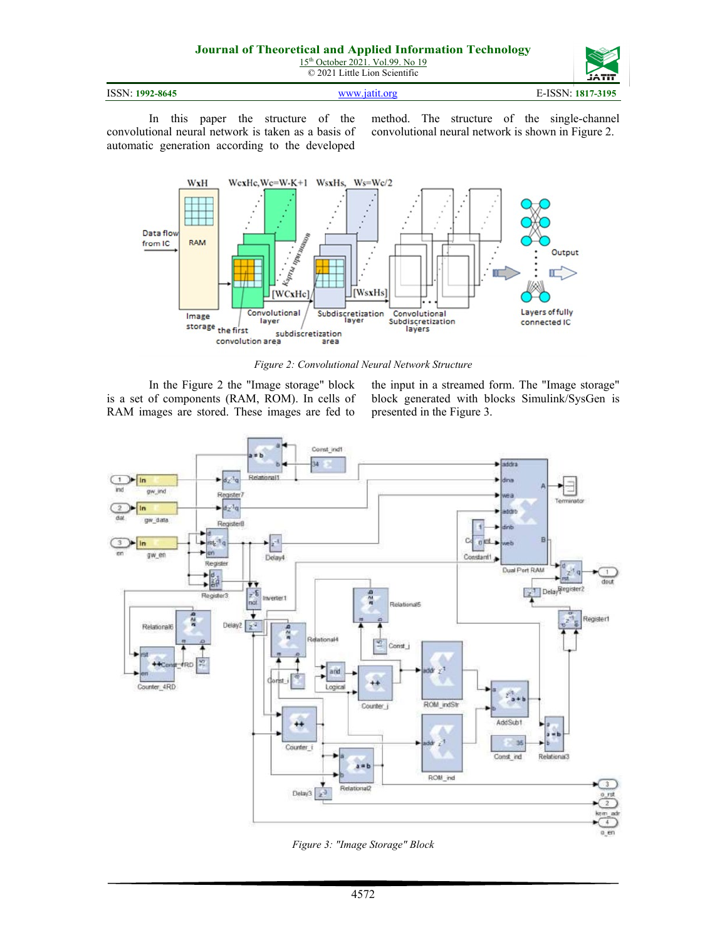| ISSN: 1992-8645 | MWW 1911 Ore | E-ISSN:<br>1817-3195 |
|-----------------|--------------|----------------------|

In this paper the structure of the convolutional neural network is taken as a basis of automatic generation according to the developed

method. The structure of the single-channel convolutional neural network is shown in Figure 2.



*Figure 2: Convolutional Neural Network Structure*

In the Figure 2 the "Image storage" block is a set of components (RAM, ROM). In cells of RAM images are stored. These images are fed to the input in a streamed form. The "Image storage" block generated with blocks Simulink/SysGen is presented in the Figure 3.



*Figure 3: "Image Storage" Block*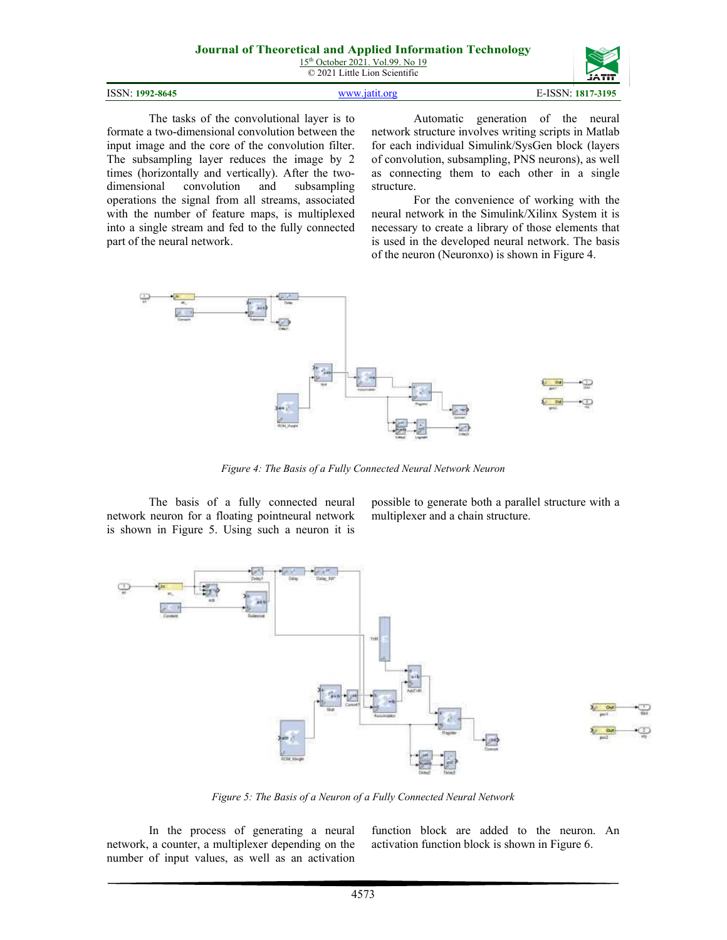#### **Journal of Theoretical and Applied Information Technology** 15<sup>th</sup> October 2021. Vol.99. No 19 © 2021 Little Lion Scientific



|  | ISSN: 1992-8645 |
|--|-----------------|
|--|-----------------|

The tasks of the convolutional layer is to formate a two-dimensional convolution between the input image and the core of the convolution filter. The subsampling layer reduces the image by 2 times (horizontally and vertically). After the twodimensional convolution and subsampling operations the signal from all streams, associated with the number of feature maps, is multiplexed into a single stream and fed to the fully connected part of the neural network.

Automatic generation of the neural network structure involves writing scripts in Matlab for each individual Simulink/SysGen block (layers of convolution, subsampling, PNS neurons), as well as connecting them to each other in a single structure.

For the convenience of working with the neural network in the Simulink/Xilinx System it is necessary to create a library of those elements that is used in the developed neural network. The basis of the neuron (Neuronxo) is shown in Figure 4.



*Figure 4: The Basis of a Fully Connected Neural Network Neuron*

The basis of a fully connected neural network neuron for a floating pointneural network is shown in Figure 5. Using such a neuron it is possible to generate both a parallel structure with a multiplexer and a chain structure.



*Figure 5: The Basis of a Neuron of a Fully Connected Neural Network*

In the process of generating a neural network, a counter, a multiplexer depending on the number of input values, as well as an activation function block are added to the neuron. An activation function block is shown in Figure 6.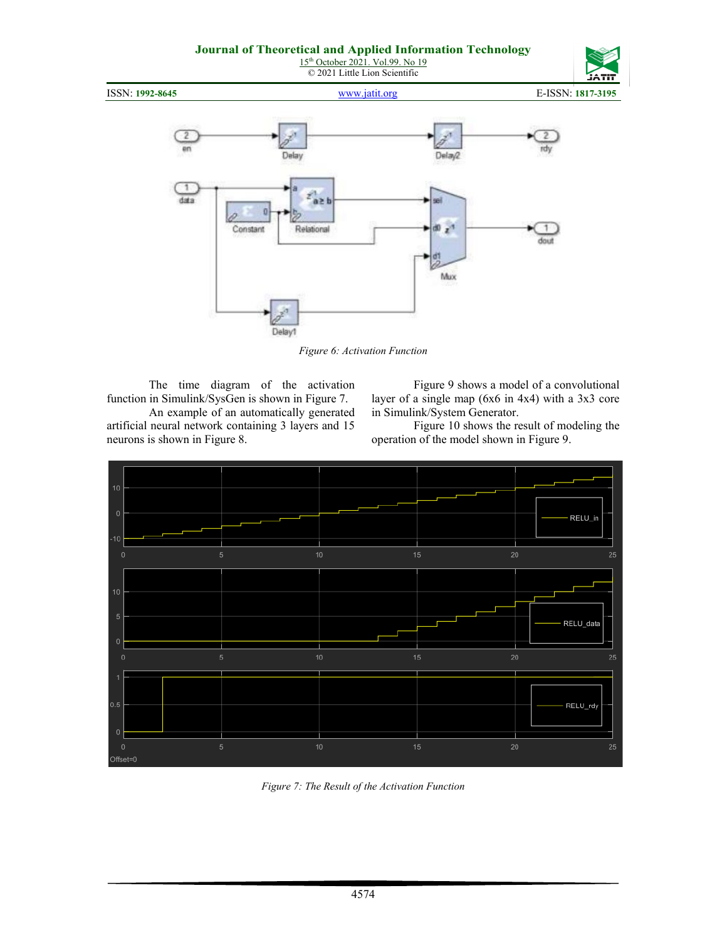15<sup>th</sup> October 2021. Vol.99. No 19 © 2021 Little Lion Scientific



*Figure 6: Activation Function*

The time diagram of the activation function in Simulink/SysGen is shown in Figure 7. An example of an automatically generated

artificial neural network containing 3 layers and 15 neurons is shown in Figure 8.

Figure 9 shows a model of a convolutional layer of a single map (6x6 in 4x4) with a 3x3 core in Simulink/System Generator.

Figure 10 shows the result of modeling the operation of the model shown in Figure 9.



*Figure 7: The Result of the Activation Function*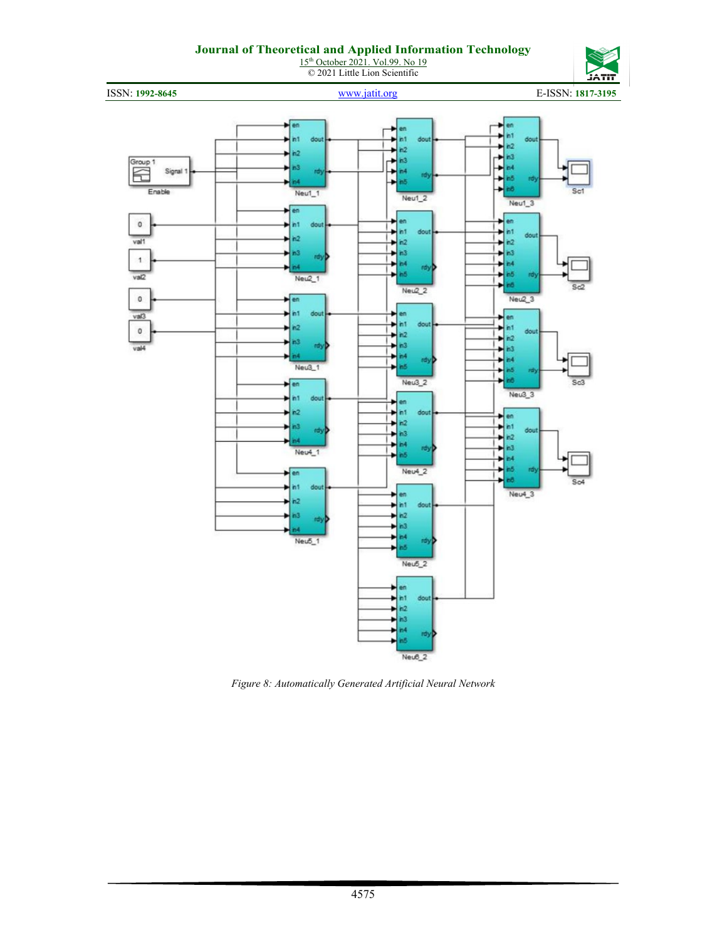#### **Journal of Theoretical and Applied Information Technology** 15<sup>th</sup> October 2021. Vol.99. No 19

© 2021 Little Lion Scientific



ISSN: **1992-8645** [www.jatit.org](http://www.jatit.org/) E-ISSN: **1817-3195**



*Figure 8: Automatically Generated Artificial Neural Network*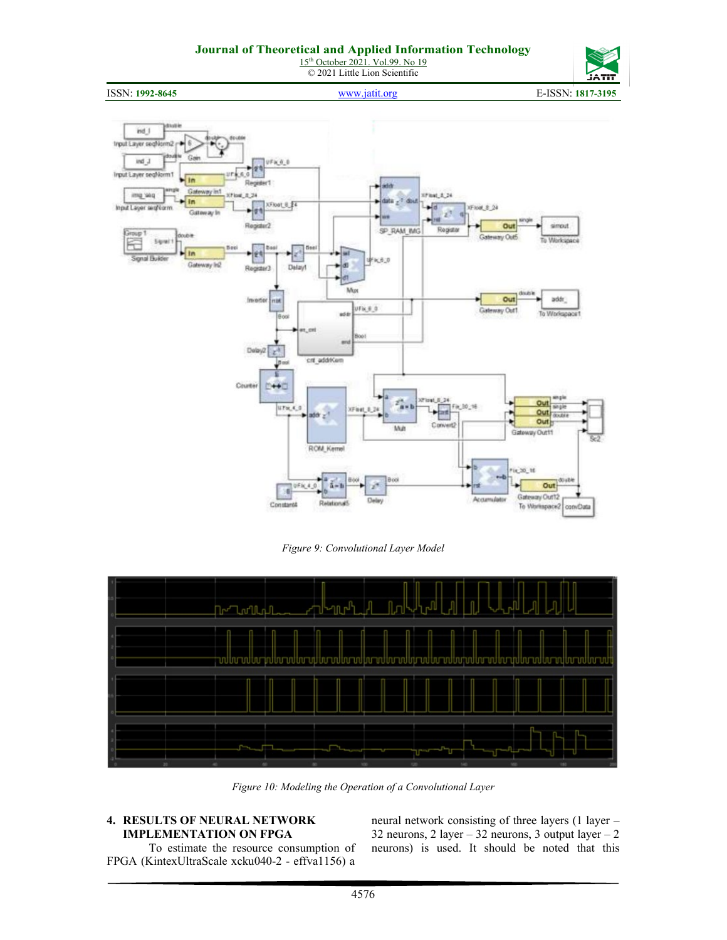15<sup>th</sup> October 2021. Vol.99. No 19 © 2021 Little Lion Scientific







*Figure 9: Convolutional Layer Model*



*Figure 10: Modeling the Operation of a Convolutional Layer*

#### **4. RESULTS OF NEURAL NETWORK IMPLEMENTATION ON FPGA**

To estimate the resource consumption of FPGA (KintexUltraScale xcku040-2 - effva1156) a

neural network consisting of three layers (1 layer – 32 neurons, 2 layer – 32 neurons, 3 output layer – 2 neurons) is used. It should be noted that this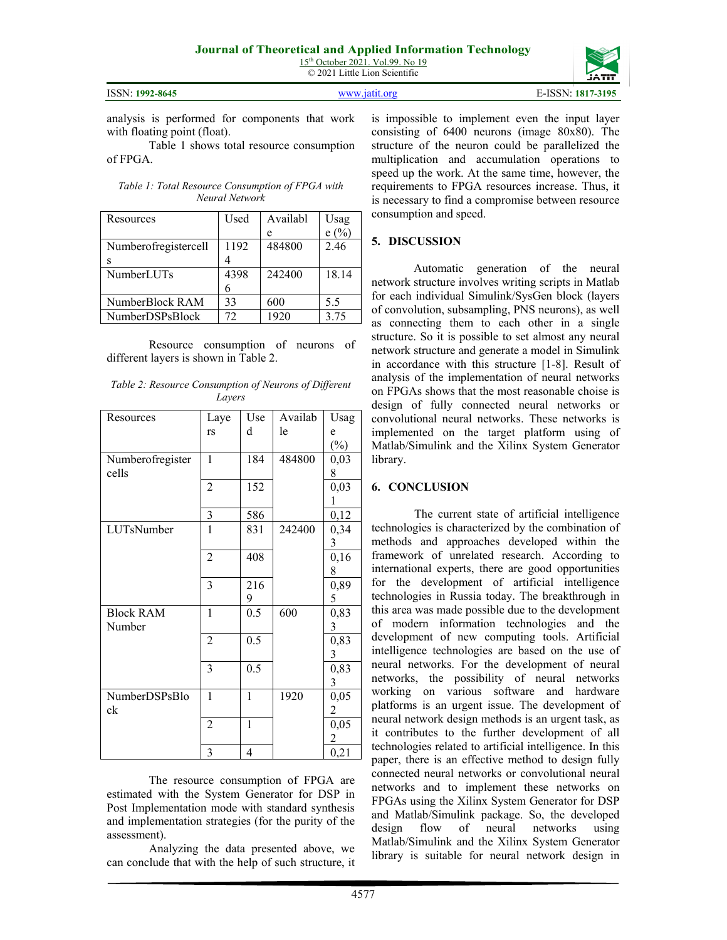| <b>ISSN: 1992-8645</b> |
|------------------------|
|                        |

ISSN: **1992-8645** [www.jatit.org](http://www.jatit.org/) E-ISSN: **1817-3195**

4577

is impossible to implement even the input layer consisting of 6400 neurons (image 80x80). The structure of the neuron could be parallelized the multiplication and accumulation operations to speed up the work. At the same time, however, the requirements to FPGA resources increase. Thus, it is necessary to find a compromise between resource consumption and speed.

# **5. DISCUSSION**

Automatic generation of the neural network structure involves writing scripts in Matlab for each individual Simulink/SysGen block (layers of convolution, subsampling, PNS neurons), as well as connecting them to each other in a single structure. So it is possible to set almost any neural network structure and generate a model in Simulink in accordance with this structure [1-8]. Result of analysis of the implementation of neural networks on FPGAs shows that the most reasonable choise is design of fully connected neural networks or convolutional neural networks. These networks is implemented on the target platform using of Matlab/Simulink and the Xilinx System Generator library.

#### **6. CONCLUSION**

The current state of artificial intelligence technologies is characterized by the combination of methods and approaches developed within the framework of unrelated research. According to international experts, there are good opportunities for the development of artificial intelligence technologies in Russia today. The breakthrough in this area was made possible due to the development of modern information technologies and the development of new computing tools. Artificial intelligence technologies are based on the use of neural networks. For the development of neural networks, the possibility of neural networks working on various software and hardware platforms is an urgent issue. The development of neural network design methods is an urgent task, as it contributes to the further development of all technologies related to artificial intelligence. In this paper, there is an effective method to design fully connected neural networks or convolutional neural networks and to implement these networks on FPGAs using the Xilinx System Generator for DSP and Matlab/Simulink package. So, the developed design flow of neural networks using Matlab/Simulink and the Xilinx System Generator library is suitable for neural network design in

analysis is performed for components that work with floating point (float).

Table 1 shows total resource consumption of FPGA.

*Table 1: Total Resource Consumption of FPGA with Neural Network*

| Resources            | Used | Availabl | Usag         |
|----------------------|------|----------|--------------|
|                      |      | е        | $(% )^{(0)}$ |
| Numberofregistercell | 1192 | 484800   | 2.46         |
| s                    |      |          |              |
| <b>NumberLUTs</b>    | 4398 | 242400   | 18.14        |
|                      |      |          |              |
| NumberBlock RAM      | 33   | 600      | 5.5          |
| NumberDSPsBlock      | 72   | 1920     | 3.75         |

Resource consumption of neurons of different layers is shown in Table 2.

*Table 2: Resource Consumption of Neurons of Different Layers*

| Resources        | Laye           | Use          | Availab | Usag   |
|------------------|----------------|--------------|---------|--------|
|                  | rs             | d            | le      | e      |
|                  |                |              |         | $(\%)$ |
| Numberofregister | $\mathbf{1}$   | 184          | 484800  | 0,03   |
| cells            |                |              |         | 8      |
|                  | $\overline{2}$ | 152          |         | 0,03   |
|                  |                |              |         | 1      |
|                  | 3              | 586          |         | 0,12   |
| LUTsNumber       | 1              | 831          | 242400  | 0,34   |
|                  |                |              |         | 3      |
|                  | $\overline{2}$ | 408          |         | 0,16   |
|                  |                |              |         | 8      |
|                  | 3              | 216          |         | 0,89   |
|                  |                | 9            |         | 5      |
| <b>Block RAM</b> | $\mathbf{1}$   | 0.5          | 600     | 0,83   |
| Number           |                |              |         | 3      |
|                  | $\overline{2}$ | 0.5          |         | 0,83   |
|                  |                |              |         | 3      |
|                  | 3              | 0.5          |         | 0,83   |
|                  |                |              |         | 3      |
| NumberDSPsBlo    | $\mathbf{1}$   | $\mathbf{1}$ | 1920    | 0,05   |
| ck               |                |              |         | 2      |
|                  | $\overline{c}$ | $\mathbf{1}$ |         | 0,05   |
|                  |                |              |         | 2      |
|                  | 3              | 4            |         | 0,21   |

The resource consumption of FPGA are estimated with the System Generator for DSP in Post Implementation mode with standard synthesis and implementation strategies (for the purity of the assessment).

Analyzing the data presented above, we can conclude that with the help of such structure, it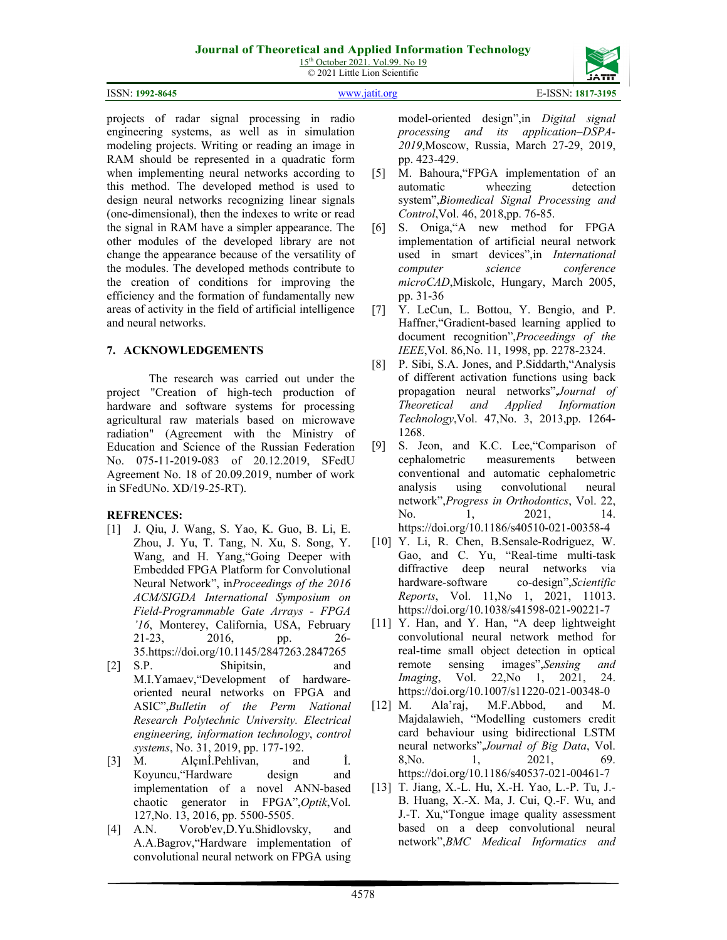15<sup>th</sup> October 2021. Vol.99. No 19 © 2021 Little Lion Scientific

|                 | $\sim$ 2021 Divis Divis Description | _________<br>ייית            |
|-----------------|-------------------------------------|------------------------------|
| ISSN: 1992-8645 | unuu 195                            | -ISSN:<br>$\vdots$ 1817-3195 |

projects of radar signal processing in radio engineering systems, as well as in simulation modeling projects. Writing or reading an image in RAM should be represented in a quadratic form when implementing neural networks according to this method. The developed method is used to design neural networks recognizing linear signals (one-dimensional), then the indexes to write or read the signal in RAM have a simpler appearance. The other modules of the developed library are not change the appearance because of the versatility of the modules. The developed methods contribute to the creation of conditions for improving the efficiency and the formation of fundamentally new areas of activity in the field of artificial intelligence and neural networks.

# **7. ACKNOWLEDGEMENTS**

The research was carried out under the project "Creation of high-tech production of hardware and software systems for processing agricultural raw materials based on microwave radiation" (Agreement with the Ministry of Education and Science of the Russian Federation No. 075-11-2019-083 of 20.12.2019, SFedU Agreement No. 18 of 20.09.2019, number of work in SFedUNo. XD/19-25-RT).

# **REFRENCES:**

- [1] J. Qiu, J. Wang, S. Yao, K. Guo, B. Li, E. Zhou, J. Yu, T. Tang, N. Xu, S. Song, Y. Wang, and H. Yang,"Going Deeper with Embedded FPGA Platform for Convolutional Neural Network", in*Proceedings of the 2016 ACM/SIGDA International Symposium on Field-Programmable Gate Arrays - FPGA '16*, Monterey, California, USA, February 21-23, 2016, pp. 26- 35.https://doi.org/10.1145/2847263.2847265
- [2] S.P. Shipitsin, and M.I.Yamaev,"Development of hardwareoriented neural networks on FPGA and ASIC",*Bulletin of the Perm National Research Polytechnic University. Electrical engineering, information technology*, *control systems*, No. 31, 2019, pp. 177-192.
- [3] M. Alçınİ.Pehlivan, and İ. Koyuncu,"Hardware design and implementation of a novel ANN-based chaotic generator in FPGA",*Optik*,Vol. 127,No. 13, 2016, pp. 5500-5505.
- [4] A.N. Vorob'ev,D.Yu.Shidlovsky, and A.A.Bagrov,"Hardware implementation of convolutional neural network on FPGA using

model-oriented design",in *Digital signal processing and its application–DSPA-2019*,Moscow, Russia, March 27-29, 2019, pp. 423-429.

- [5] M. Bahoura,"FPGA implementation of an automatic wheezing detection system",*Biomedical Signal Processing and Control*,Vol. 46, 2018,pp. 76-85.
- [6] S. Oniga,"A new method for FPGA implementation of artificial neural network used in smart devices",in *International computer science conference microCAD*,Miskolc, Hungary, March 2005, pp. 31-36
- [7] Y. LeCun, L. Bottou, Y. Bengio, and P. Haffner,"Gradient-based learning applied to document recognition",*Proceedings of the IEEE*,Vol. 86,No. 11, 1998, pp. 2278-2324.
- [8] P. Sibi, S.A. Jones, and P.Siddarth,"Analysis of different activation functions using back propagation neural networks",*Journal of Theoretical and Applied Information Technology*,Vol. 47,No. 3, 2013,pp. 1264- 1268.
- [9] S. Jeon, and K.C. Lee, "Comparison of cephalometric measurements between conventional and automatic cephalometric analysis using convolutional neural network",*Progress in Orthodontics*, Vol. 22, No. 1, 2021, 14. https://doi.org/10.1186/s40510-021-00358-4
- [10] Y. Li, R. Chen, B.Sensale-Rodriguez, W. Gao, and C. Yu, "Real-time multi-task diffractive deep neural networks via hardware-software co-design",*Scientific Reports*, Vol. 11, No 1, 2021, 11013. https://doi.org/10.1038/s41598-021-90221-7
- [11] Y. Han, and Y. Han, "A deep lightweight convolutional neural network method for real-time small object detection in optical remote sensing images",*Sensing and Imaging*, Vol. 22,No 1, 2021, 24. https://doi.org/10.1007/s11220-021-00348-0
- [12] M. Ala'raj, M.F.Abbod, and M. Majdalawieh, "Modelling customers credit card behaviour using bidirectional LSTM neural networks",*Journal of Big Data*, Vol. 8,No. 1, 2021, 69. https://doi.org/10.1186/s40537-021-00461-7
- [13] T. Jiang, X.-L. Hu, X.-H. Yao, L.-P. Tu, J.- B. Huang, X.-X. Ma, J. Cui, Q.-F. Wu, and J.-T. Xu,"Tongue image quality assessment based on a deep convolutional neural network",*BMC Medical Informatics and*